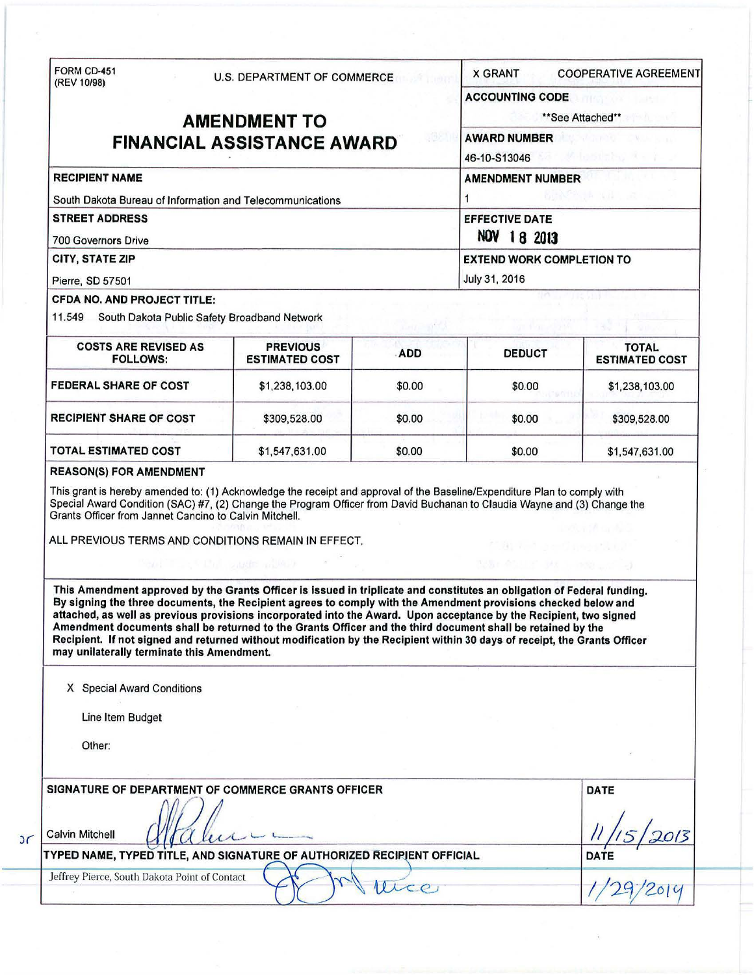|                                                                                                                                                                                                                                                                                                                                                                                                                                                                                                                                                                                                                                                                                                                                                                                                                                                          |                                          | U.S. DEPARTMENT OF COMMERCE |                                                                     | <b>X GRANT</b><br><b>COOPERATIVE AGREEMENT</b> |  |
|----------------------------------------------------------------------------------------------------------------------------------------------------------------------------------------------------------------------------------------------------------------------------------------------------------------------------------------------------------------------------------------------------------------------------------------------------------------------------------------------------------------------------------------------------------------------------------------------------------------------------------------------------------------------------------------------------------------------------------------------------------------------------------------------------------------------------------------------------------|------------------------------------------|-----------------------------|---------------------------------------------------------------------|------------------------------------------------|--|
| (REV 10/98)<br><b>AMENDMENT TO</b>                                                                                                                                                                                                                                                                                                                                                                                                                                                                                                                                                                                                                                                                                                                                                                                                                       |                                          |                             | ACCOUNTING CODE <b>ACCOUNTING</b><br>**See Attached**               |                                                |  |
| <b>FINANCIAL ASSISTANCE AWARD</b>                                                                                                                                                                                                                                                                                                                                                                                                                                                                                                                                                                                                                                                                                                                                                                                                                        |                                          |                             | AWARD NUMBER AWARD NUMBER<br>46-10-S13046 <b>1999</b>               |                                                |  |
| <b>RECIPIENT NAME</b>                                                                                                                                                                                                                                                                                                                                                                                                                                                                                                                                                                                                                                                                                                                                                                                                                                    |                                          |                             | <b>AMENDMENT NUMBER</b>                                             |                                                |  |
| South Dakota Bureau of Information and Telecommunications                                                                                                                                                                                                                                                                                                                                                                                                                                                                                                                                                                                                                                                                                                                                                                                                | <b>BUNCHALL WALLER</b><br>$\mathbf{1}$   |                             |                                                                     |                                                |  |
| <b>STREET ADDRESS</b><br><b>700 Governors Drive</b>                                                                                                                                                                                                                                                                                                                                                                                                                                                                                                                                                                                                                                                                                                                                                                                                      | <b>EFFECTIVE DATE</b><br>NOV 18 2013     |                             |                                                                     |                                                |  |
| <b>CITY, STATE ZIP</b>                                                                                                                                                                                                                                                                                                                                                                                                                                                                                                                                                                                                                                                                                                                                                                                                                                   | <b>EXTEND WORK COMPLETION TO</b>         |                             |                                                                     |                                                |  |
| Pierre, SD 57501<br><b>CFDA NO. AND PROJECT TITLE:</b>                                                                                                                                                                                                                                                                                                                                                                                                                                                                                                                                                                                                                                                                                                                                                                                                   |                                          |                             | July 31, 2016                                                       |                                                |  |
| 11.549 South Dakota Public Safety Broadband Network                                                                                                                                                                                                                                                                                                                                                                                                                                                                                                                                                                                                                                                                                                                                                                                                      |                                          |                             |                                                                     |                                                |  |
|                                                                                                                                                                                                                                                                                                                                                                                                                                                                                                                                                                                                                                                                                                                                                                                                                                                          |                                          |                             |                                                                     |                                                |  |
| <b>COSTS ARE REVISED AS</b><br><b>FOLLOWS:</b>                                                                                                                                                                                                                                                                                                                                                                                                                                                                                                                                                                                                                                                                                                                                                                                                           | <b>PREVIOUS</b><br><b>ESTIMATED COST</b> | ADD                         | <b>DEDUCT</b>                                                       | <b>TOTAL</b><br><b>ESTIMATED COST</b>          |  |
| <b>FEDERAL SHARE OF COST</b>                                                                                                                                                                                                                                                                                                                                                                                                                                                                                                                                                                                                                                                                                                                                                                                                                             | \$1,238,103.00                           | \$0.00                      | \$0.00                                                              | \$1,238,103.00                                 |  |
| <b>RECIPIENT SHARE OF COST</b>                                                                                                                                                                                                                                                                                                                                                                                                                                                                                                                                                                                                                                                                                                                                                                                                                           | \$309,528.00                             | \$0.00                      | \$0.00                                                              | \$309,528.00                                   |  |
| <b>TOTAL ESTIMATED COST</b>                                                                                                                                                                                                                                                                                                                                                                                                                                                                                                                                                                                                                                                                                                                                                                                                                              | \$1,547,631.00                           | \$0.00                      | \$0.00                                                              | \$1,547,631.00                                 |  |
|                                                                                                                                                                                                                                                                                                                                                                                                                                                                                                                                                                                                                                                                                                                                                                                                                                                          |                                          |                             |                                                                     | with the Arc                                   |  |
| This grant is hereby amended to: (1) Acknowledge the receipt and approval of the Baseline/Expenditure Plan to comply with<br>Special Award Condition (SAC) #7, (2) Change the Program Officer from David Buchanan to Claudia Wayne and (3) Change the<br>Grants Officer from Jannet Cancino to Calvin Mitchell.<br>ALL PREVIOUS TERMS AND CONDITIONS REMAIN IN EFFECT.<br>This Amendment approved by the Grants Officer is issued in triplicate and constitutes an obligation of Federal funding.<br>By signing the three documents, the Recipient agrees to comply with the Amendment provisions checked below and<br>attached, as well as previous provisions incorporated into the Award. Upon acceptance by the Recipient, two signed<br>Amendment documents shall be returned to the Grants Officer and the third document shall be retained by the | CALL THIS CALL AND MARKET WAS ARRESTED   |                             | <b>CONTRACTOR</b> (1995) NUMBER<br>team Aquilic DM is long Lichting |                                                |  |
|                                                                                                                                                                                                                                                                                                                                                                                                                                                                                                                                                                                                                                                                                                                                                                                                                                                          |                                          |                             |                                                                     |                                                |  |
| X Special Award Conditions                                                                                                                                                                                                                                                                                                                                                                                                                                                                                                                                                                                                                                                                                                                                                                                                                               |                                          |                             |                                                                     |                                                |  |
| Recipient. If not signed and returned without modification by the Recipient within 30 days of receipt, the Grants Officer<br>Line Item Budget                                                                                                                                                                                                                                                                                                                                                                                                                                                                                                                                                                                                                                                                                                            |                                          |                             |                                                                     |                                                |  |
| may unilaterally terminate this Amendment.<br>Other:                                                                                                                                                                                                                                                                                                                                                                                                                                                                                                                                                                                                                                                                                                                                                                                                     |                                          |                             |                                                                     |                                                |  |
| SIGNATURE OF DEPARTMENT OF COMMERCE GRANTS OFFICER                                                                                                                                                                                                                                                                                                                                                                                                                                                                                                                                                                                                                                                                                                                                                                                                       |                                          |                             |                                                                     | <b>DATE</b>                                    |  |
| <b>Calvin Mitchell</b><br>TYPED NAME, TYPED TITLE, AND SIGNATURE OF AUTHORIZED RECIPIENT OFFICIAL                                                                                                                                                                                                                                                                                                                                                                                                                                                                                                                                                                                                                                                                                                                                                        |                                          |                             |                                                                     | DATE                                           |  |